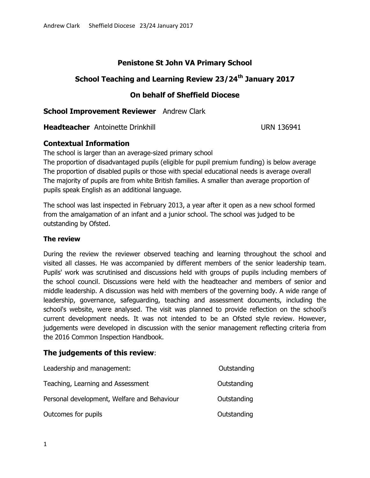## **Penistone St John VA Primary School**

# **School Teaching and Learning Review 23/24th January 2017**

### **On behalf of Sheffield Diocese**

#### **School Improvement Reviewer** Andrew Clark

**Headteacher** Antoinette Drinkhill **Network** URN 136941

### **Contextual Information**

The school is larger than an average-sized primary school

The proportion of disadvantaged pupils (eligible for pupil premium funding) is below average The proportion of disabled pupils or those with special educational needs is average overall The majority of pupils are from white British families. A smaller than average proportion of pupils speak English as an additional language.

The school was last inspected in February 2013, a year after it open as a new school formed from the amalgamation of an infant and a junior school. The school was judged to be outstanding by Ofsted.

#### **The review**

During the review the reviewer observed teaching and learning throughout the school and visited all classes. He was accompanied by different members of the senior leadership team. Pupils' work was scrutinised and discussions held with groups of pupils including members of the school council. Discussions were held with the headteacher and members of senior and middle leadership. A discussion was held with members of the governing body. A wide range of leadership, governance, safeguarding, teaching and assessment documents, including the school's website, were analysed. The visit was planned to provide reflection on the school's current development needs. It was not intended to be an Ofsted style review. However, judgements were developed in discussion with the senior management reflecting criteria from the 2016 Common Inspection Handbook.

#### **The judgements of this review**:

| Leadership and management:                  | Outstanding |
|---------------------------------------------|-------------|
| Teaching, Learning and Assessment           | Outstanding |
| Personal development, Welfare and Behaviour | Outstanding |
| Outcomes for pupils                         | Outstanding |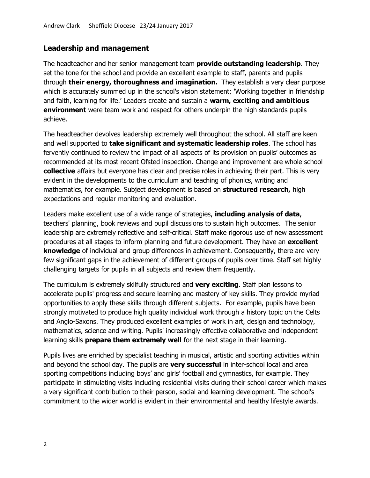#### **Leadership and management**

The headteacher and her senior management team **provide outstanding leadership**. They set the tone for the school and provide an excellent example to staff, parents and pupils through **their energy, thoroughness and imagination.** They establish a very clear purpose which is accurately summed up in the school's vision statement; 'Working together in friendship and faith, learning for life.' Leaders create and sustain a **warm, exciting and ambitious environment** were team work and respect for others underpin the high standards pupils achieve.

The headteacher devolves leadership extremely well throughout the school. All staff are keen and well supported to **take significant and systematic leadership roles**. The school has fervently continued to review the impact of all aspects of its provision on pupils' outcomes as recommended at its most recent Ofsted inspection. Change and improvement are whole school **collective** affairs but everyone has clear and precise roles in achieving their part. This is very evident in the developments to the curriculum and teaching of phonics, writing and mathematics, for example. Subject development is based on **structured research,** high expectations and regular monitoring and evaluation.

Leaders make excellent use of a wide range of strategies, **including analysis of data**, teachers' planning, book reviews and pupil discussions to sustain high outcomes. The senior leadership are extremely reflective and self-critical. Staff make rigorous use of new assessment procedures at all stages to inform planning and future development. They have an **excellent knowledge** of individual and group differences in achievement. Consequently, there are very few significant gaps in the achievement of different groups of pupils over time. Staff set highly challenging targets for pupils in all subjects and review them frequently.

The curriculum is extremely skilfully structured and **very exciting**. Staff plan lessons to accelerate pupils' progress and secure learning and mastery of key skills. They provide myriad opportunities to apply these skills through different subjects. For example, pupils have been strongly motivated to produce high quality individual work through a history topic on the Celts and Anglo-Saxons. They produced excellent examples of work in art, design and technology, mathematics, science and writing. Pupils' increasingly effective collaborative and independent learning skills **prepare them extremely well** for the next stage in their learning.

Pupils lives are enriched by specialist teaching in musical, artistic and sporting activities within and beyond the school day. The pupils are **very successful** in inter-school local and area sporting competitions including boys' and girls' football and gymnastics, for example. They participate in stimulating visits including residential visits during their school career which makes a very significant contribution to their person, social and learning development. The school's commitment to the wider world is evident in their environmental and healthy lifestyle awards.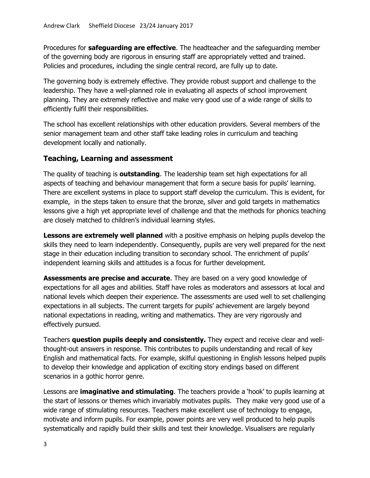Procedures for **safeguarding are effective**. The headteacher and the safeguarding member of the governing body are rigorous in ensuring staff are appropriately vetted and trained. Policies and procedures, including the single central record, are fully up to date.

The governing body is extremely effective. They provide robust support and challenge to the leadership. They have a well-planned role in evaluating all aspects of school improvement planning. They are extremely reflective and make very good use of a wide range of skills to efficiently fulfil their responsibilities.

The school has excellent relationships with other education providers. Several members of the senior management team and other staff take leading roles in curriculum and teaching development locally and nationally.

## **Teaching, Learning and assessment**

The quality of teaching is **outstanding**. The leadership team set high expectations for all aspects of teaching and behaviour management that form a secure basis for pupils' learning. There are excellent systems in place to support staff develop the curriculum. This is evident, for example, in the steps taken to ensure that the bronze, silver and gold targets in mathematics lessons give a high yet appropriate level of challenge and that the methods for phonics teaching are closely matched to children's individual learning styles.

**Lessons are extremely well planned** with a positive emphasis on helping pupils develop the skills they need to learn independently. Consequently, pupils are very well prepared for the next stage in their education including transition to secondary school. The enrichment of pupils' independent learning skills and attitudes is a focus for further development.

**Assessments are precise and accurate**. They are based on a very good knowledge of expectations for all ages and abilities. Staff have roles as moderators and assessors at local and national levels which deepen their experience. The assessments are used well to set challenging expectations in all subjects. The current targets for pupils' achievement are largely beyond national expectations in reading, writing and mathematics. They are very rigorously and effectively pursued.

Teachers **question pupils deeply and consistently.** They expect and receive clear and wellthought-out answers in response. This contributes to pupils understanding and recall of key English and mathematical facts. For example, skilful questioning in English lessons helped pupils to develop their knowledge and application of exciting story endings based on different scenarios in a gothic horror genre.

Lessons are **imaginative and stimulating**. The teachers provide a 'hook' to pupils learning at the start of lessons or themes which invariably motivates pupils. They make very good use of a wide range of stimulating resources. Teachers make excellent use of technology to engage, motivate and inform pupils. For example, power points are very well produced to help pupils systematically and rapidly build their skills and test their knowledge. Visualisers are regularly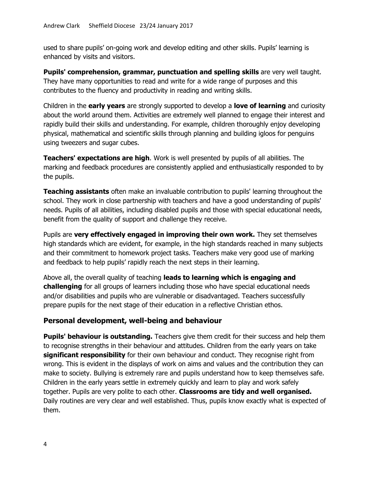used to share pupils' on-going work and develop editing and other skills. Pupils' learning is enhanced by visits and visitors.

**Pupils' comprehension, grammar, punctuation and spelling skills** are very well taught. They have many opportunities to read and write for a wide range of purposes and this contributes to the fluency and productivity in reading and writing skills.

Children in the **early years** are strongly supported to develop a **love of learning** and curiosity about the world around them. Activities are extremely well planned to engage their interest and rapidly build their skills and understanding. For example, children thoroughly enjoy developing physical, mathematical and scientific skills through planning and building igloos for penguins using tweezers and sugar cubes.

**Teachers' expectations are high**. Work is well presented by pupils of all abilities. The marking and feedback procedures are consistently applied and enthusiastically responded to by the pupils.

**Teaching assistants** often make an invaluable contribution to pupils' learning throughout the school. They work in close partnership with teachers and have a good understanding of pupils' needs. Pupils of all abilities, including disabled pupils and those with special educational needs, benefit from the quality of support and challenge they receive.

Pupils are **very effectively engaged in improving their own work.** They set themselves high standards which are evident, for example, in the high standards reached in many subjects and their commitment to homework project tasks. Teachers make very good use of marking and feedback to help pupils' rapidly reach the next steps in their learning.

Above all, the overall quality of teaching **leads to learning which is engaging and challenging** for all groups of learners including those who have special educational needs and/or disabilities and pupils who are vulnerable or disadvantaged. Teachers successfully prepare pupils for the next stage of their education in a reflective Christian ethos.

#### **Personal development, well-being and behaviour**

**Pupils' behaviour is outstanding.** Teachers give them credit for their success and help them to recognise strengths in their behaviour and attitudes. Children from the early years on take **significant responsibility** for their own behaviour and conduct. They recognise right from wrong. This is evident in the displays of work on aims and values and the contribution they can make to society. Bullying is extremely rare and pupils understand how to keep themselves safe. Children in the early years settle in extremely quickly and learn to play and work safely together. Pupils are very polite to each other. **Classrooms are tidy and well organised.** Daily routines are very clear and well established. Thus, pupils know exactly what is expected of them.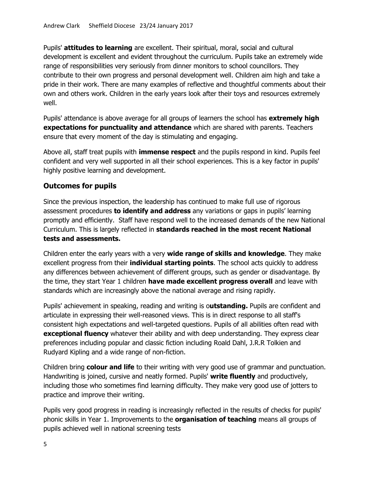Pupils' **attitudes to learning** are excellent. Their spiritual, moral, social and cultural development is excellent and evident throughout the curriculum. Pupils take an extremely wide range of responsibilities very seriously from dinner monitors to school councillors. They contribute to their own progress and personal development well. Children aim high and take a pride in their work. There are many examples of reflective and thoughtful comments about their own and others work. Children in the early years look after their toys and resources extremely well.

Pupils' attendance is above average for all groups of learners the school has **extremely high expectations for punctuality and attendance** which are shared with parents. Teachers ensure that every moment of the day is stimulating and engaging.

Above all, staff treat pupils with **immense respect** and the pupils respond in kind. Pupils feel confident and very well supported in all their school experiences. This is a key factor in pupils' highly positive learning and development.

## **Outcomes for pupils**

Since the previous inspection, the leadership has continued to make full use of rigorous assessment procedures **to identify and address** any variations or gaps in pupils' learning promptly and efficiently. Staff have respond well to the increased demands of the new National Curriculum. This is largely reflected in **standards reached in the most recent National tests and assessments.** 

Children enter the early years with a very **wide range of skills and knowledge**. They make excellent progress from their **individual starting points**. The school acts quickly to address any differences between achievement of different groups, such as gender or disadvantage. By the time, they start Year 1 children **have made excellent progress overall** and leave with standards which are increasingly above the national average and rising rapidly.

Pupils' achievement in speaking, reading and writing is o**utstanding.** Pupils are confident and articulate in expressing their well-reasoned views. This is in direct response to all staff's consistent high expectations and well-targeted questions. Pupils of all abilities often read with **exceptional fluency** whatever their ability and with deep understanding. They express clear preferences including popular and classic fiction including Roald Dahl, J.R.R Tolkien and Rudyard Kipling and a wide range of non-fiction.

Children bring **colour and life** to their writing with very good use of grammar and punctuation. Handwriting is joined, cursive and neatly formed. Pupils' **write fluently** and productively, including those who sometimes find learning difficulty. They make very good use of jotters to practice and improve their writing.

Pupils very good progress in reading is increasingly reflected in the results of checks for pupils' phonic skills in Year 1. Improvements to the **organisation of teaching** means all groups of pupils achieved well in national screening tests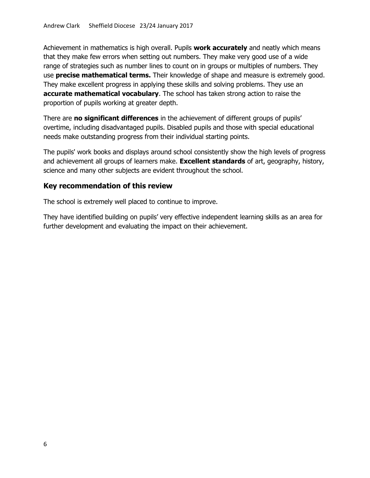Achievement in mathematics is high overall. Pupils **work accurately** and neatly which means that they make few errors when setting out numbers. They make very good use of a wide range of strategies such as number lines to count on in groups or multiples of numbers. They use **precise mathematical terms.** Their knowledge of shape and measure is extremely good. They make excellent progress in applying these skills and solving problems. They use an **accurate mathematical vocabulary**. The school has taken strong action to raise the proportion of pupils working at greater depth.

There are **no significant differences** in the achievement of different groups of pupils' overtime, including disadvantaged pupils. Disabled pupils and those with special educational needs make outstanding progress from their individual starting points.

The pupils' work books and displays around school consistently show the high levels of progress and achievement all groups of learners make. **Excellent standards** of art, geography, history, science and many other subjects are evident throughout the school.

#### **Key recommendation of this review**

The school is extremely well placed to continue to improve.

They have identified building on pupils' very effective independent learning skills as an area for further development and evaluating the impact on their achievement.